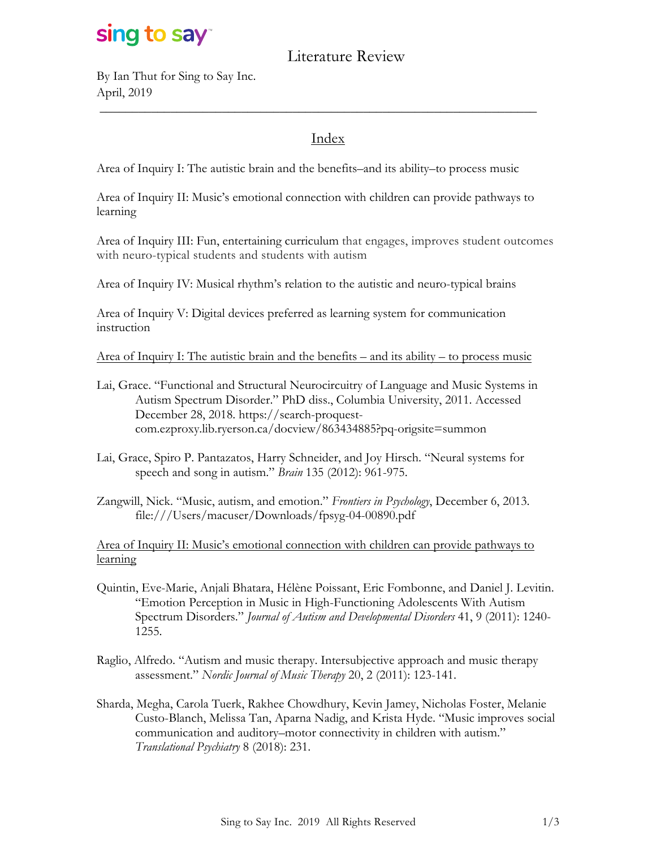# sing to say

### Literature Review

By Ian Thut for Sing to Say Inc. April, 2019

#### Index

\_\_\_\_\_\_\_\_\_\_\_\_\_\_\_\_\_\_\_\_\_\_\_\_\_\_\_\_\_\_\_\_\_\_\_\_\_\_\_\_\_\_\_\_\_\_\_\_\_\_\_\_\_\_\_\_\_\_\_\_\_\_\_\_\_\_\_\_

Area of Inquiry I: The autistic brain and the benefits–and its ability–to process music

Area of Inquiry II: Music's emotional connection with children can provide pathways to learning

Area of Inquiry III: Fun, entertaining curriculum that engages, improves student outcomes with neuro-typical students and students with autism

Area of Inquiry IV: Musical rhythm's relation to the autistic and neuro-typical brains

Area of Inquiry V: Digital devices preferred as learning system for communication instruction

Area of Inquiry I: The autistic brain and the benefits – and its ability – to process music

- Lai, Grace. "Functional and Structural Neurocircuitry of Language and Music Systems in Autism Spectrum Disorder." PhD diss., Columbia University, 2011. Accessed December 28, 2018. https://search-proquestcom.ezproxy.lib.ryerson.ca/docview/863434885?pq-origsite=summon
- Lai, Grace, Spiro P. Pantazatos, Harry Schneider, and Joy Hirsch. "Neural systems for speech and song in autism." *Brain* 135 (2012): 961-975.
- Zangwill, Nick. "Music, autism, and emotion." *Frontiers in Psychology*, December 6, 2013. file:///Users/macuser/Downloads/fpsyg-04-00890.pdf

Area of Inquiry II: Music's emotional connection with children can provide pathways to learning

- Quintin, Eve-Marie, Anjali Bhatara, Hélène Poissant, Eric Fombonne, and Daniel J. Levitin. "Emotion Perception in Music in High-Functioning Adolescents With Autism Spectrum Disorders." *Journal of Autism and Developmental Disorders* 41, 9 (2011): 1240- 1255.
- Raglio, Alfredo. "Autism and music therapy. Intersubjective approach and music therapy assessment." *Nordic Journal of Music Therapy* 20, 2 (2011): 123-141.
- Sharda, Megha, Carola Tuerk, Rakhee Chowdhury, Kevin Jamey, Nicholas Foster, Melanie Custo-Blanch, Melissa Tan, Aparna Nadig, and Krista Hyde. "Music improves social communication and auditory–motor connectivity in children with autism." *Translational Psychiatry* 8 (2018): 231.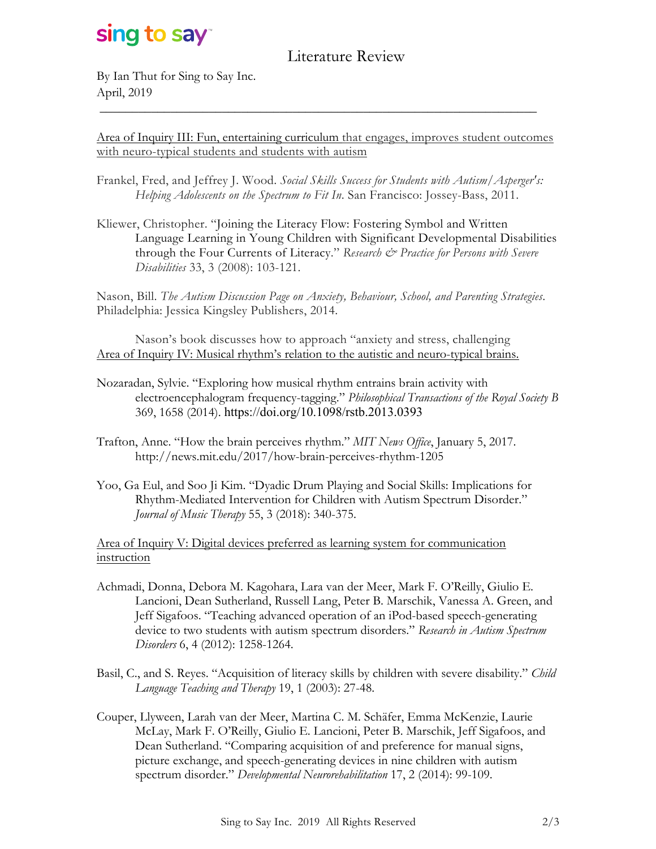# sing to say

### Literature Review

By Ian Thut for Sing to Say Inc. April, 2019

Area of Inquiry III: Fun, entertaining curriculum that engages, improves student outcomes with neuro-typical students and students with autism

\_\_\_\_\_\_\_\_\_\_\_\_\_\_\_\_\_\_\_\_\_\_\_\_\_\_\_\_\_\_\_\_\_\_\_\_\_\_\_\_\_\_\_\_\_\_\_\_\_\_\_\_\_\_\_\_\_\_\_\_\_\_\_\_\_\_\_\_

- Frankel, Fred, and Jeffrey J. Wood. *Social Skills Success for Students with Autism/Asperger's: Helping Adolescents on the Spectrum to Fit In*. San Francisco: Jossey-Bass, 2011.
- Kliewer, Christopher. "Joining the Literacy Flow: Fostering Symbol and Written Language Learning in Young Children with Significant Developmental Disabilities through the Four Currents of Literacy." *Research & Practice for Persons with Severe Disabilities* 33, 3 (2008): 103-121.

Nason, Bill. *The Autism Discussion Page on Anxiety, Behaviour, School, and Parenting Strategies*. Philadelphia: Jessica Kingsley Publishers, 2014.

Nason's book discusses how to approach "anxiety and stress, challenging Area of Inquiry IV: Musical rhythm's relation to the autistic and neuro-typical brains.

- Nozaradan, Sylvie. "Exploring how musical rhythm entrains brain activity with electroencephalogram frequency-tagging." *Philosophical Transactions of the Royal Society B* 369, 1658 (2014). https://doi.org/10.1098/rstb.2013.0393
- Trafton, Anne. "How the brain perceives rhythm." *MIT News Office*, January 5, 2017. http://news.mit.edu/2017/how-brain-perceives-rhythm-1205
- Yoo, Ga Eul, and Soo Ji Kim. "Dyadic Drum Playing and Social Skills: Implications for Rhythm-Mediated Intervention for Children with Autism Spectrum Disorder." *Journal of Music Therapy* 55, 3 (2018): 340-375.

Area of Inquiry V: Digital devices preferred as learning system for communication instruction

- Achmadi, Donna, Debora M. Kagohara, Lara van der Meer, Mark F. O'Reilly, Giulio E. Lancioni, Dean Sutherland, Russell Lang, Peter B. Marschik, Vanessa A. Green, and Jeff Sigafoos. "Teaching advanced operation of an iPod-based speech-generating device to two students with autism spectrum disorders." *Research in Autism Spectrum Disorders* 6, 4 (2012): 1258-1264.
- Basil, C., and S. Reyes. "Acquisition of literacy skills by children with severe disability." *Child Language Teaching and Therapy* 19, 1 (2003): 27-48.
- Couper, Llyween, Larah van der Meer, Martina C. M. Schäfer, Emma McKenzie, Laurie McLay, Mark F. O'Reilly, Giulio E. Lancioni, Peter B. Marschik, Jeff Sigafoos, and Dean Sutherland. "Comparing acquisition of and preference for manual signs, picture exchange, and speech-generating devices in nine children with autism spectrum disorder." *Developmental Neurorehabilitation* 17, 2 (2014): 99-109.